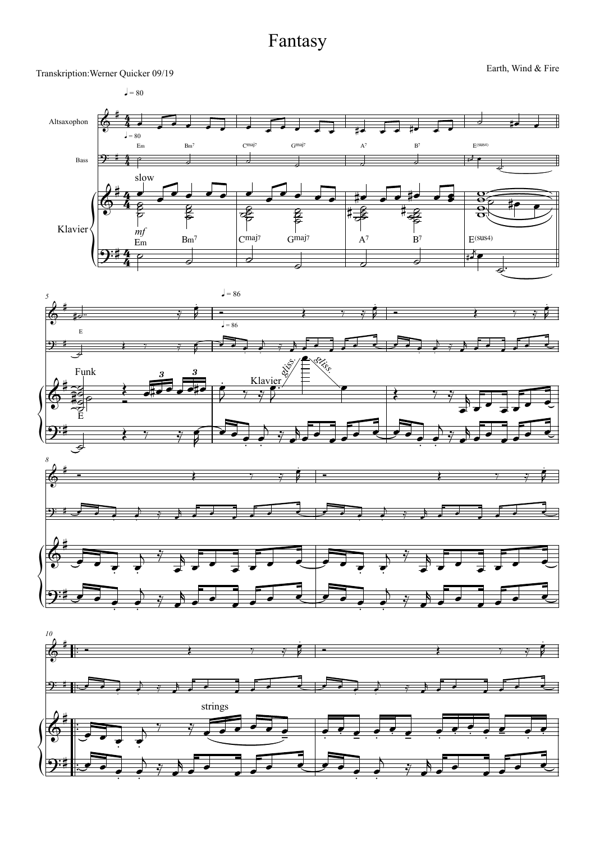## Fantasy

Transkription: Werner Quicker 09/19 Fire Earth, Wind & Fire Earth, Wind & Fire

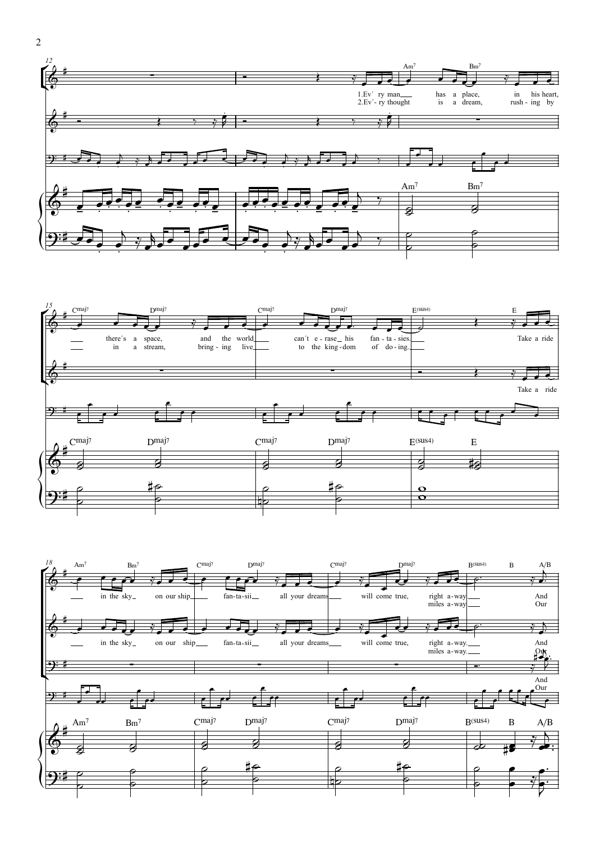



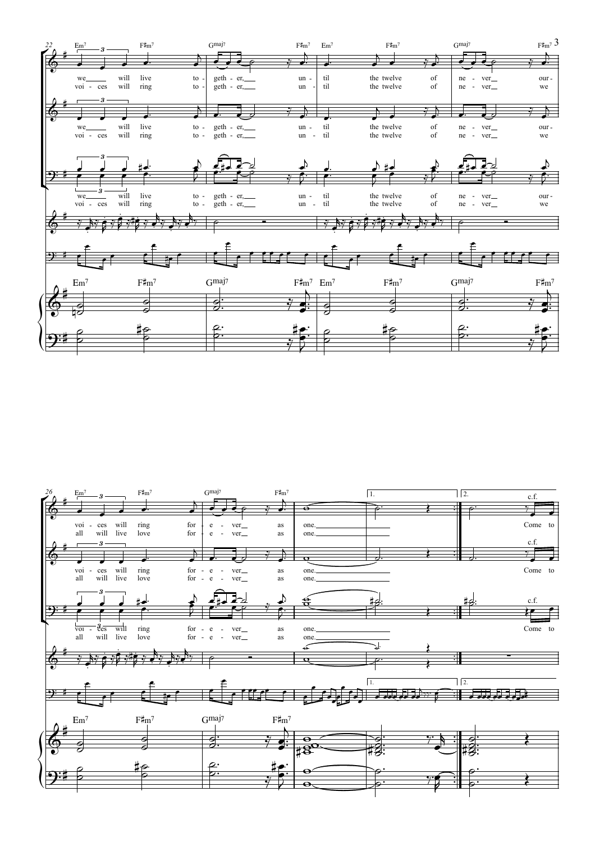

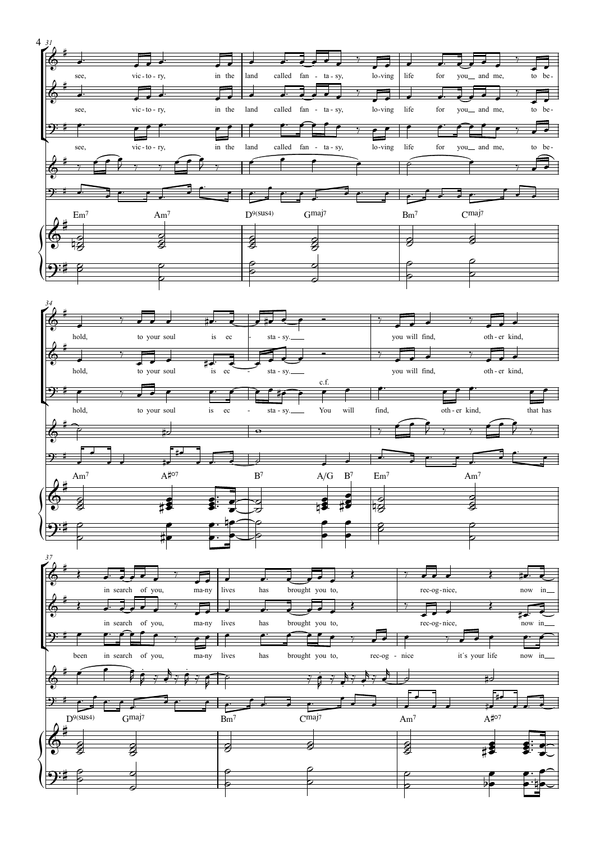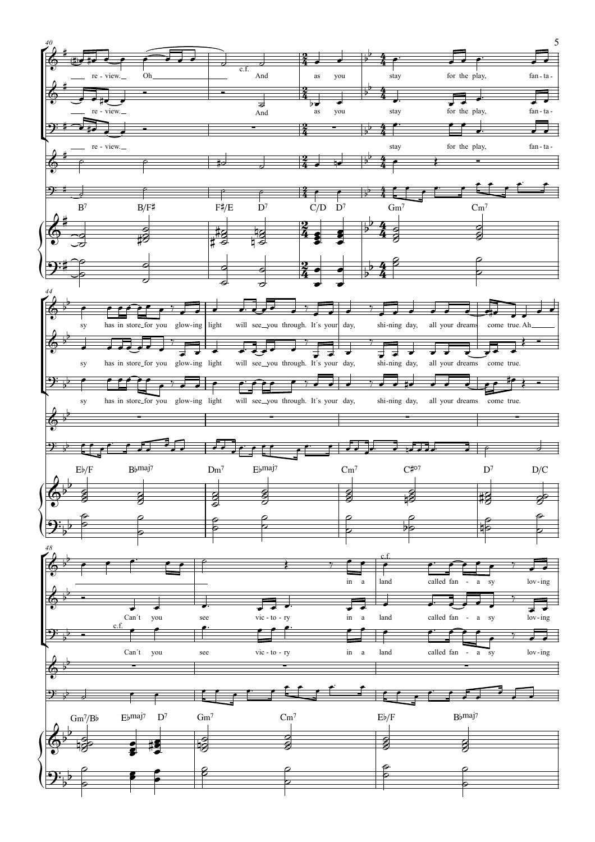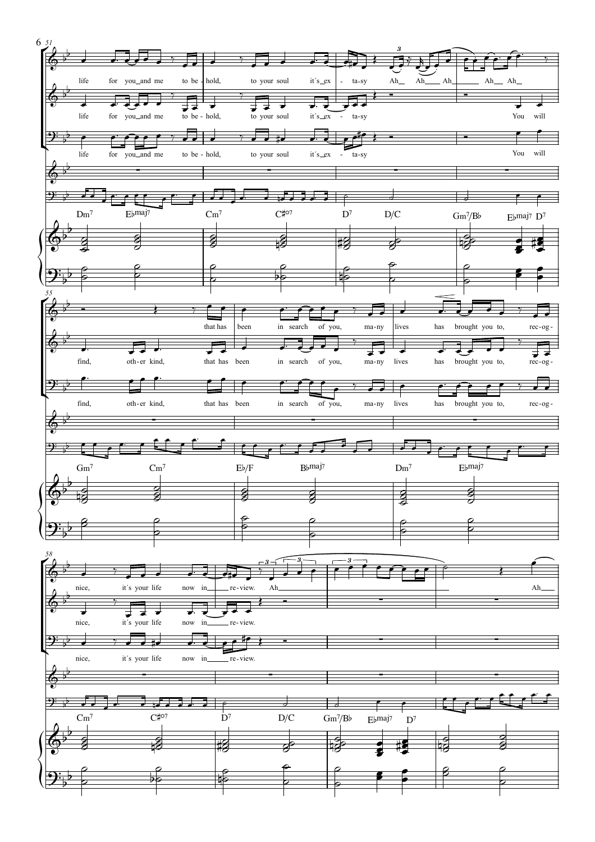